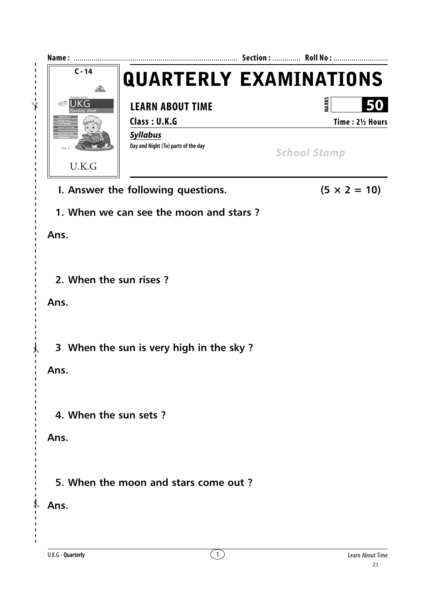

 $\mathbf{I}$  $\mathbf{I}$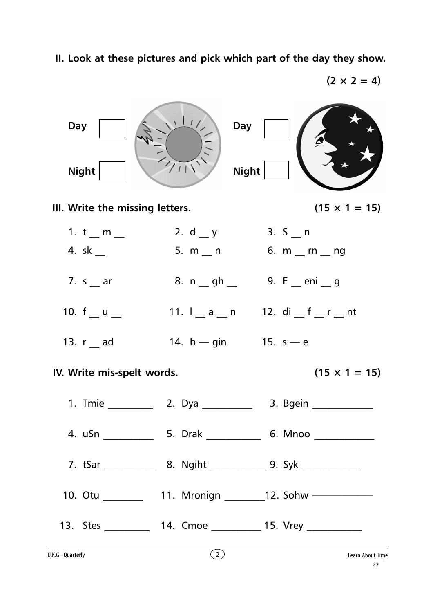

**II. Look at these pictures and pick which part of the day they show.**

 $(2 \times 2 = 4)$